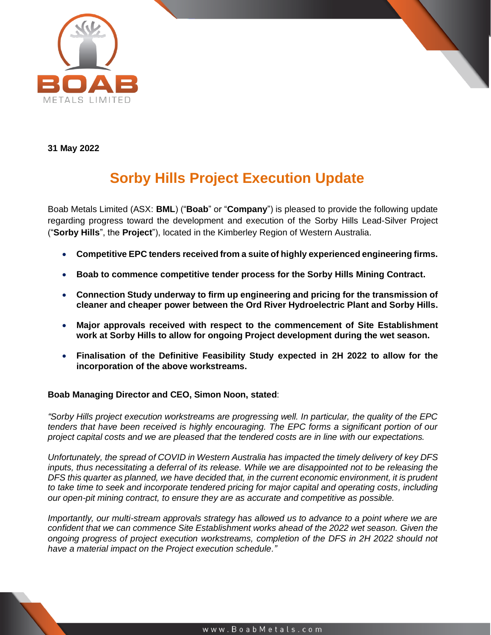

**31 May 2022**

# **Sorby Hills Project Execution Update**

Boab Metals Limited (ASX: **BML**) ("**Boab**" or "**Company**") is pleased to provide the following update regarding progress toward the development and execution of the Sorby Hills Lead-Silver Project ("**Sorby Hills**", the **Project**"), located in the Kimberley Region of Western Australia.

- **Competitive EPC tenders received from a suite of highly experienced engineering firms.**
- **Boab to commence competitive tender process for the Sorby Hills Mining Contract.**
- **Connection Study underway to firm up engineering and pricing for the transmission of cleaner and cheaper power between the Ord River Hydroelectric Plant and Sorby Hills.**
- **Major approvals received with respect to the commencement of Site Establishment work at Sorby Hills to allow for ongoing Project development during the wet season.**
- **Finalisation of the Definitive Feasibility Study expected in 2H 2022 to allow for the incorporation of the above workstreams.**

## **Boab Managing Director and CEO, Simon Noon, stated**:

*"Sorby Hills project execution workstreams are progressing well. In particular, the quality of the EPC tenders that have been received is highly encouraging. The EPC forms a significant portion of our project capital costs and we are pleased that the tendered costs are in line with our expectations.*

*Unfortunately, the spread of COVID in Western Australia has impacted the timely delivery of key DFS inputs, thus necessitating a deferral of its release. While we are disappointed not to be releasing the DFS this quarter as planned, we have decided that, in the current economic environment, it is prudent to take time to seek and incorporate tendered pricing for major capital and operating costs, including our open-pit mining contract, to ensure they are as accurate and competitive as possible.* 

*Importantly, our multi-stream approvals strategy has allowed us to advance to a point where we are confident that we can commence Site Establishment works ahead of the 2022 wet season. Given the ongoing progress of project execution workstreams, completion of the DFS in 2H 2022 should not have a material impact on the Project execution schedule."*



www.BoabMetals.com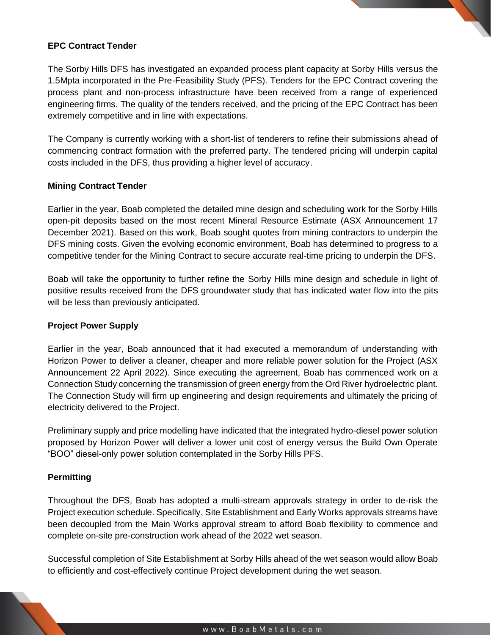## **EPC Contract Tender**

The Sorby Hills DFS has investigated an expanded process plant capacity at Sorby Hills versus the 1.5Mpta incorporated in the Pre-Feasibility Study (PFS). Tenders for the EPC Contract covering the process plant and non-process infrastructure have been received from a range of experienced engineering firms. The quality of the tenders received, and the pricing of the EPC Contract has been extremely competitive and in line with expectations.

The Company is currently working with a short-list of tenderers to refine their submissions ahead of commencing contract formation with the preferred party. The tendered pricing will underpin capital costs included in the DFS, thus providing a higher level of accuracy.

### **Mining Contract Tender**

Earlier in the year, Boab completed the detailed mine design and scheduling work for the Sorby Hills open-pit deposits based on the most recent Mineral Resource Estimate (ASX Announcement 17 December 2021). Based on this work, Boab sought quotes from mining contractors to underpin the DFS mining costs. Given the evolving economic environment, Boab has determined to progress to a competitive tender for the Mining Contract to secure accurate real-time pricing to underpin the DFS.

Boab will take the opportunity to further refine the Sorby Hills mine design and schedule in light of positive results received from the DFS groundwater study that has indicated water flow into the pits will be less than previously anticipated.

## **Project Power Supply**

Earlier in the year, Boab announced that it had executed a memorandum of understanding with Horizon Power to deliver a cleaner, cheaper and more reliable power solution for the Project (ASX Announcement 22 April 2022). Since executing the agreement, Boab has commenced work on a Connection Study concerning the transmission of green energy from the Ord River hydroelectric plant. The Connection Study will firm up engineering and design requirements and ultimately the pricing of electricity delivered to the Project.

Preliminary supply and price modelling have indicated that the integrated hydro-diesel power solution proposed by Horizon Power will deliver a lower unit cost of energy versus the Build Own Operate "BOO" diesel-only power solution contemplated in the Sorby Hills PFS.

#### **Permitting**

Throughout the DFS, Boab has adopted a multi-stream approvals strategy in order to de-risk the Project execution schedule. Specifically, Site Establishment and Early Works approvals streams have been decoupled from the Main Works approval stream to afford Boab flexibility to commence and complete on-site pre-construction work ahead of the 2022 wet season.

Successful completion of Site Establishment at Sorby Hills ahead of the wet season would allow Boab to efficiently and cost-effectively continue Project development during the wet season.